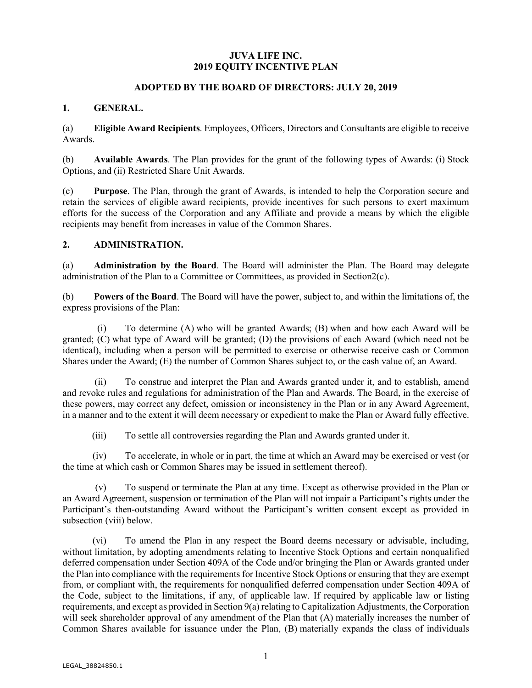### **JUVA LIFE INC. 2019 EQUITY INCENTIVE PLAN**

#### **ADOPTED BY THE BOARD OF DIRECTORS: JULY 20, 2019**

#### **1. GENERAL.**

(a) **Eligible Award Recipients**. Employees, Officers, Directors and Consultants are eligible to receive Awards.

(b) **Available Awards**. The Plan provides for the grant of the following types of Awards: (i) Stock Options, and (ii) Restricted Share Unit Awards.

(c) **Purpose**. The Plan, through the grant of Awards, is intended to help the Corporation secure and retain the services of eligible award recipients, provide incentives for such persons to exert maximum efforts for the success of the Corporation and any Affiliate and provide a means by which the eligible recipients may benefit from increases in value of the Common Shares.

#### **2. ADMINISTRATION.**

(a) **Administration by the Board**. The Board will administer the Plan. The Board may delegate administration of the Plan to a Committee or Committees, as provided in Section2(c).

(b) **Powers of the Board**. The Board will have the power, subject to, and within the limitations of, the express provisions of the Plan:

(i) To determine (A) who will be granted Awards; (B) when and how each Award will be granted; (C) what type of Award will be granted; (D) the provisions of each Award (which need not be identical), including when a person will be permitted to exercise or otherwise receive cash or Common Shares under the Award; (E) the number of Common Shares subject to, or the cash value of, an Award.

(ii) To construe and interpret the Plan and Awards granted under it, and to establish, amend and revoke rules and regulations for administration of the Plan and Awards. The Board, in the exercise of these powers, may correct any defect, omission or inconsistency in the Plan or in any Award Agreement, in a manner and to the extent it will deem necessary or expedient to make the Plan or Award fully effective.

(iii) To settle all controversies regarding the Plan and Awards granted under it.

(iv) To accelerate, in whole or in part, the time at which an Award may be exercised or vest (or the time at which cash or Common Shares may be issued in settlement thereof).

(v) To suspend or terminate the Plan at any time. Except as otherwise provided in the Plan or an Award Agreement, suspension or termination of the Plan will not impair a Participant's rights under the Participant's then-outstanding Award without the Participant's written consent except as provided in subsection (viii) below.

(vi) To amend the Plan in any respect the Board deems necessary or advisable, including, without limitation, by adopting amendments relating to Incentive Stock Options and certain nonqualified deferred compensation under Section 409A of the Code and/or bringing the Plan or Awards granted under the Plan into compliance with the requirements for Incentive Stock Options or ensuring that they are exempt from, or compliant with, the requirements for nonqualified deferred compensation under Section 409A of the Code, subject to the limitations, if any, of applicable law. If required by applicable law or listing requirements, and except as provided in Section 9(a) relating to Capitalization Adjustments, the Corporation will seek shareholder approval of any amendment of the Plan that (A) materially increases the number of Common Shares available for issuance under the Plan, (B) materially expands the class of individuals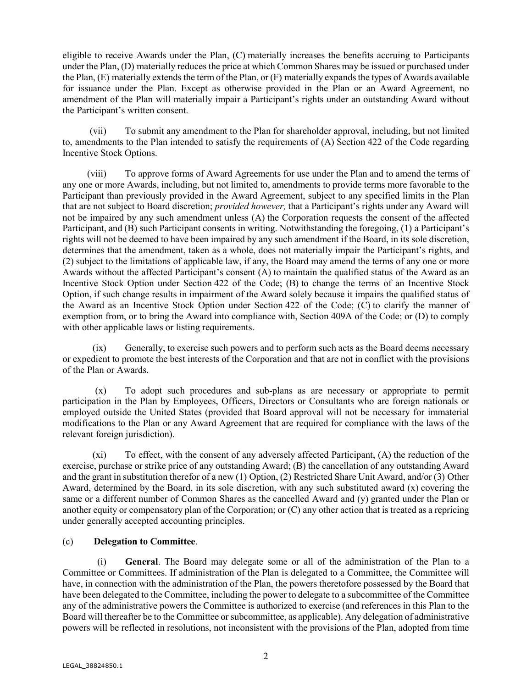eligible to receive Awards under the Plan, (C) materially increases the benefits accruing to Participants under the Plan, (D) materially reduces the price at which Common Shares may be issued or purchased under the Plan, (E) materially extends the term of the Plan, or (F) materially expands the types of Awards available for issuance under the Plan. Except as otherwise provided in the Plan or an Award Agreement, no amendment of the Plan will materially impair a Participant's rights under an outstanding Award without the Participant's written consent.

(vii) To submit any amendment to the Plan for shareholder approval, including, but not limited to, amendments to the Plan intended to satisfy the requirements of (A) Section 422 of the Code regarding Incentive Stock Options.

(viii) To approve forms of Award Agreements for use under the Plan and to amend the terms of any one or more Awards, including, but not limited to, amendments to provide terms more favorable to the Participant than previously provided in the Award Agreement, subject to any specified limits in the Plan that are not subject to Board discretion; *provided however,* that a Participant's rights under any Award will not be impaired by any such amendment unless (A) the Corporation requests the consent of the affected Participant, and (B) such Participant consents in writing. Notwithstanding the foregoing, (1) a Participant's rights will not be deemed to have been impaired by any such amendment if the Board, in its sole discretion, determines that the amendment, taken as a whole, does not materially impair the Participant's rights, and (2) subject to the limitations of applicable law, if any, the Board may amend the terms of any one or more Awards without the affected Participant's consent (A) to maintain the qualified status of the Award as an Incentive Stock Option under Section 422 of the Code; (B) to change the terms of an Incentive Stock Option, if such change results in impairment of the Award solely because it impairs the qualified status of the Award as an Incentive Stock Option under Section 422 of the Code; (C) to clarify the manner of exemption from, or to bring the Award into compliance with, Section 409A of the Code; or (D) to comply with other applicable laws or listing requirements.

(ix) Generally, to exercise such powers and to perform such acts as the Board deems necessary or expedient to promote the best interests of the Corporation and that are not in conflict with the provisions of the Plan or Awards.

(x) To adopt such procedures and sub-plans as are necessary or appropriate to permit participation in the Plan by Employees, Officers, Directors or Consultants who are foreign nationals or employed outside the United States (provided that Board approval will not be necessary for immaterial modifications to the Plan or any Award Agreement that are required for compliance with the laws of the relevant foreign jurisdiction).

(xi) To effect, with the consent of any adversely affected Participant, (A) the reduction of the exercise, purchase or strike price of any outstanding Award; (B) the cancellation of any outstanding Award and the grant in substitution therefor of a new (1) Option, (2) Restricted Share Unit Award, and/or (3) Other Award, determined by the Board, in its sole discretion, with any such substituted award (x) covering the same or a different number of Common Shares as the cancelled Award and (y) granted under the Plan or another equity or compensatory plan of the Corporation; or (C) any other action that is treated as a repricing under generally accepted accounting principles.

## (c) **Delegation to Committee**.

(i) **General**. The Board may delegate some or all of the administration of the Plan to a Committee or Committees. If administration of the Plan is delegated to a Committee, the Committee will have, in connection with the administration of the Plan, the powers theretofore possessed by the Board that have been delegated to the Committee, including the power to delegate to a subcommittee of the Committee any of the administrative powers the Committee is authorized to exercise (and references in this Plan to the Board will thereafter be to the Committee or subcommittee, as applicable). Any delegation of administrative powers will be reflected in resolutions, not inconsistent with the provisions of the Plan, adopted from time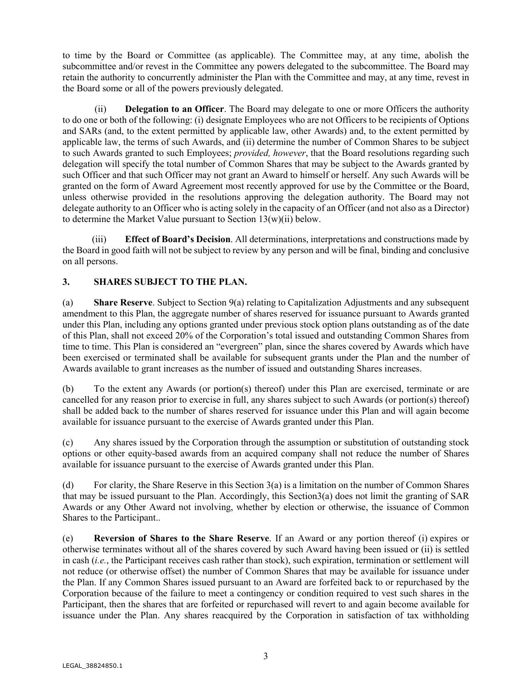to time by the Board or Committee (as applicable). The Committee may, at any time, abolish the subcommittee and/or revest in the Committee any powers delegated to the subcommittee. The Board may retain the authority to concurrently administer the Plan with the Committee and may, at any time, revest in the Board some or all of the powers previously delegated.

(ii) **Delegation to an Officer**. The Board may delegate to one or more Officers the authority to do one or both of the following: (i) designate Employees who are not Officers to be recipients of Options and SARs (and, to the extent permitted by applicable law, other Awards) and, to the extent permitted by applicable law, the terms of such Awards, and (ii) determine the number of Common Shares to be subject to such Awards granted to such Employees; *provided, however*, that the Board resolutions regarding such delegation will specify the total number of Common Shares that may be subject to the Awards granted by such Officer and that such Officer may not grant an Award to himself or herself. Any such Awards will be granted on the form of Award Agreement most recently approved for use by the Committee or the Board, unless otherwise provided in the resolutions approving the delegation authority. The Board may not delegate authority to an Officer who is acting solely in the capacity of an Officer (and not also as a Director) to determine the Market Value pursuant to Section  $13(w)(ii)$  below.

(iii) **Effect of Board's Decision**. All determinations, interpretations and constructions made by the Board in good faith will not be subject to review by any person and will be final, binding and conclusive on all persons.

# **3. SHARES SUBJECT TO THE PLAN.**

(a) **Share Reserve**. Subject to Section 9(a) relating to Capitalization Adjustments and any subsequent amendment to this Plan, the aggregate number of shares reserved for issuance pursuant to Awards granted under this Plan, including any options granted under previous stock option plans outstanding as of the date of this Plan, shall not exceed 20% of the Corporation's total issued and outstanding Common Shares from time to time. This Plan is considered an "evergreen" plan, since the shares covered by Awards which have been exercised or terminated shall be available for subsequent grants under the Plan and the number of Awards available to grant increases as the number of issued and outstanding Shares increases.

(b) To the extent any Awards (or portion(s) thereof) under this Plan are exercised, terminate or are cancelled for any reason prior to exercise in full, any shares subject to such Awards (or portion(s) thereof) shall be added back to the number of shares reserved for issuance under this Plan and will again become available for issuance pursuant to the exercise of Awards granted under this Plan.

(c) Any shares issued by the Corporation through the assumption or substitution of outstanding stock options or other equity-based awards from an acquired company shall not reduce the number of Shares available for issuance pursuant to the exercise of Awards granted under this Plan.

(d) For clarity, the Share Reserve in this Section 3(a) is a limitation on the number of Common Shares that may be issued pursuant to the Plan. Accordingly, this Section3(a) does not limit the granting of SAR Awards or any Other Award not involving, whether by election or otherwise, the issuance of Common Shares to the Participant..

(e) **Reversion of Shares to the Share Reserve**. If an Award or any portion thereof (i) expires or otherwise terminates without all of the shares covered by such Award having been issued or (ii) is settled in cash (*i.e.*, the Participant receives cash rather than stock), such expiration, termination or settlement will not reduce (or otherwise offset) the number of Common Shares that may be available for issuance under the Plan. If any Common Shares issued pursuant to an Award are forfeited back to or repurchased by the Corporation because of the failure to meet a contingency or condition required to vest such shares in the Participant, then the shares that are forfeited or repurchased will revert to and again become available for issuance under the Plan. Any shares reacquired by the Corporation in satisfaction of tax withholding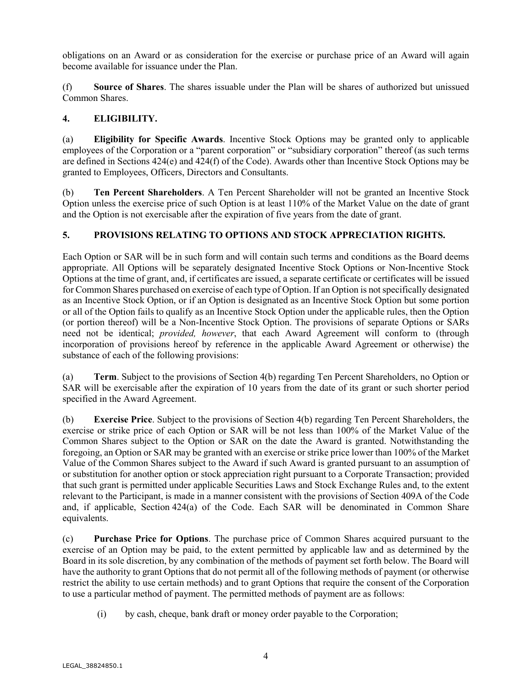obligations on an Award or as consideration for the exercise or purchase price of an Award will again become available for issuance under the Plan.

(f) **Source of Shares**. The shares issuable under the Plan will be shares of authorized but unissued Common Shares.

## **4. ELIGIBILITY.**

(a) **Eligibility for Specific Awards**. Incentive Stock Options may be granted only to applicable employees of the Corporation or a "parent corporation" or "subsidiary corporation" thereof (as such terms are defined in Sections 424(e) and 424(f) of the Code). Awards other than Incentive Stock Options may be granted to Employees, Officers, Directors and Consultants.

(b) **Ten Percent Shareholders**. A Ten Percent Shareholder will not be granted an Incentive Stock Option unless the exercise price of such Option is at least 110% of the Market Value on the date of grant and the Option is not exercisable after the expiration of five years from the date of grant.

# **5. PROVISIONS RELATING TO OPTIONS AND STOCK APPRECIATION RIGHTS.**

Each Option or SAR will be in such form and will contain such terms and conditions as the Board deems appropriate. All Options will be separately designated Incentive Stock Options or Non-Incentive Stock Options at the time of grant, and, if certificates are issued, a separate certificate or certificates will be issued for Common Shares purchased on exercise of each type of Option. If an Option is not specifically designated as an Incentive Stock Option, or if an Option is designated as an Incentive Stock Option but some portion or all of the Option fails to qualify as an Incentive Stock Option under the applicable rules, then the Option (or portion thereof) will be a Non-Incentive Stock Option. The provisions of separate Options or SARs need not be identical; *provided, however*, that each Award Agreement will conform to (through incorporation of provisions hereof by reference in the applicable Award Agreement or otherwise) the substance of each of the following provisions:

(a) **Term**. Subject to the provisions of Section 4(b) regarding Ten Percent Shareholders, no Option or SAR will be exercisable after the expiration of 10 years from the date of its grant or such shorter period specified in the Award Agreement.

(b) **Exercise Price**. Subject to the provisions of Section 4(b) regarding Ten Percent Shareholders, the exercise or strike price of each Option or SAR will be not less than 100% of the Market Value of the Common Shares subject to the Option or SAR on the date the Award is granted. Notwithstanding the foregoing, an Option or SAR may be granted with an exercise or strike price lower than 100% of the Market Value of the Common Shares subject to the Award if such Award is granted pursuant to an assumption of or substitution for another option or stock appreciation right pursuant to a Corporate Transaction; provided that such grant is permitted under applicable Securities Laws and Stock Exchange Rules and, to the extent relevant to the Participant, is made in a manner consistent with the provisions of Section 409A of the Code and, if applicable, Section 424(a) of the Code. Each SAR will be denominated in Common Share equivalents.

(c) **Purchase Price for Options**. The purchase price of Common Shares acquired pursuant to the exercise of an Option may be paid, to the extent permitted by applicable law and as determined by the Board in its sole discretion, by any combination of the methods of payment set forth below. The Board will have the authority to grant Options that do not permit all of the following methods of payment (or otherwise restrict the ability to use certain methods) and to grant Options that require the consent of the Corporation to use a particular method of payment. The permitted methods of payment are as follows:

(i) by cash, cheque, bank draft or money order payable to the Corporation;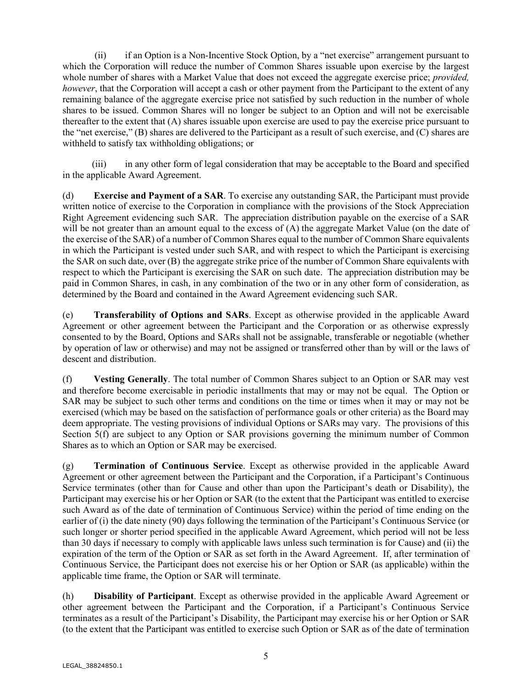(ii) if an Option is a Non-Incentive Stock Option, by a "net exercise" arrangement pursuant to which the Corporation will reduce the number of Common Shares issuable upon exercise by the largest whole number of shares with a Market Value that does not exceed the aggregate exercise price; *provided, however*, that the Corporation will accept a cash or other payment from the Participant to the extent of any remaining balance of the aggregate exercise price not satisfied by such reduction in the number of whole shares to be issued. Common Shares will no longer be subject to an Option and will not be exercisable thereafter to the extent that (A) shares issuable upon exercise are used to pay the exercise price pursuant to the "net exercise," (B) shares are delivered to the Participant as a result of such exercise, and (C) shares are withheld to satisfy tax withholding obligations; or

(iii) in any other form of legal consideration that may be acceptable to the Board and specified in the applicable Award Agreement.

(d) **Exercise and Payment of a SAR**. To exercise any outstanding SAR, the Participant must provide written notice of exercise to the Corporation in compliance with the provisions of the Stock Appreciation Right Agreement evidencing such SAR. The appreciation distribution payable on the exercise of a SAR will be not greater than an amount equal to the excess of (A) the aggregate Market Value (on the date of the exercise of the SAR) of a number of Common Shares equal to the number of Common Share equivalents in which the Participant is vested under such SAR, and with respect to which the Participant is exercising the SAR on such date, over (B) the aggregate strike price of the number of Common Share equivalents with respect to which the Participant is exercising the SAR on such date. The appreciation distribution may be paid in Common Shares, in cash, in any combination of the two or in any other form of consideration, as determined by the Board and contained in the Award Agreement evidencing such SAR.

(e) **Transferability of Options and SARs**. Except as otherwise provided in the applicable Award Agreement or other agreement between the Participant and the Corporation or as otherwise expressly consented to by the Board, Options and SARs shall not be assignable, transferable or negotiable (whether by operation of law or otherwise) and may not be assigned or transferred other than by will or the laws of descent and distribution.

(f) **Vesting Generally**. The total number of Common Shares subject to an Option or SAR may vest and therefore become exercisable in periodic installments that may or may not be equal. The Option or SAR may be subject to such other terms and conditions on the time or times when it may or may not be exercised (which may be based on the satisfaction of performance goals or other criteria) as the Board may deem appropriate. The vesting provisions of individual Options or SARs may vary. The provisions of this Section 5(f) are subject to any Option or SAR provisions governing the minimum number of Common Shares as to which an Option or SAR may be exercised.

(g) **Termination of Continuous Service**. Except as otherwise provided in the applicable Award Agreement or other agreement between the Participant and the Corporation, if a Participant's Continuous Service terminates (other than for Cause and other than upon the Participant's death or Disability), the Participant may exercise his or her Option or SAR (to the extent that the Participant was entitled to exercise such Award as of the date of termination of Continuous Service) within the period of time ending on the earlier of (i) the date ninety (90) days following the termination of the Participant's Continuous Service (or such longer or shorter period specified in the applicable Award Agreement, which period will not be less than 30 days if necessary to comply with applicable laws unless such termination is for Cause) and (ii) the expiration of the term of the Option or SAR as set forth in the Award Agreement. If, after termination of Continuous Service, the Participant does not exercise his or her Option or SAR (as applicable) within the applicable time frame, the Option or SAR will terminate.

(h) **Disability of Participant**. Except as otherwise provided in the applicable Award Agreement or other agreement between the Participant and the Corporation, if a Participant's Continuous Service terminates as a result of the Participant's Disability, the Participant may exercise his or her Option or SAR (to the extent that the Participant was entitled to exercise such Option or SAR as of the date of termination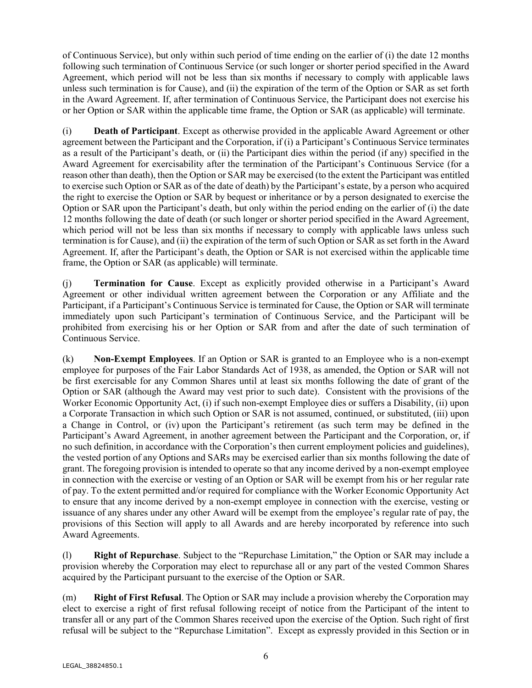of Continuous Service), but only within such period of time ending on the earlier of (i) the date 12 months following such termination of Continuous Service (or such longer or shorter period specified in the Award Agreement, which period will not be less than six months if necessary to comply with applicable laws unless such termination is for Cause), and (ii) the expiration of the term of the Option or SAR as set forth in the Award Agreement. If, after termination of Continuous Service, the Participant does not exercise his or her Option or SAR within the applicable time frame, the Option or SAR (as applicable) will terminate.

(i) **Death of Participant**. Except as otherwise provided in the applicable Award Agreement or other agreement between the Participant and the Corporation, if (i) a Participant's Continuous Service terminates as a result of the Participant's death, or (ii) the Participant dies within the period (if any) specified in the Award Agreement for exercisability after the termination of the Participant's Continuous Service (for a reason other than death), then the Option or SAR may be exercised (to the extent the Participant was entitled to exercise such Option or SAR as of the date of death) by the Participant's estate, by a person who acquired the right to exercise the Option or SAR by bequest or inheritance or by a person designated to exercise the Option or SAR upon the Participant's death, but only within the period ending on the earlier of (i) the date 12 months following the date of death (or such longer or shorter period specified in the Award Agreement, which period will not be less than six months if necessary to comply with applicable laws unless such termination is for Cause), and (ii) the expiration of the term of such Option or SAR as set forth in the Award Agreement. If, after the Participant's death, the Option or SAR is not exercised within the applicable time frame, the Option or SAR (as applicable) will terminate.

(j) **Termination for Cause**. Except as explicitly provided otherwise in a Participant's Award Agreement or other individual written agreement between the Corporation or any Affiliate and the Participant, if a Participant's Continuous Service is terminated for Cause, the Option or SAR will terminate immediately upon such Participant's termination of Continuous Service, and the Participant will be prohibited from exercising his or her Option or SAR from and after the date of such termination of Continuous Service.

(k) **Non-Exempt Employees**. If an Option or SAR is granted to an Employee who is a non-exempt employee for purposes of the Fair Labor Standards Act of 1938, as amended, the Option or SAR will not be first exercisable for any Common Shares until at least six months following the date of grant of the Option or SAR (although the Award may vest prior to such date). Consistent with the provisions of the Worker Economic Opportunity Act, (i) if such non-exempt Employee dies or suffers a Disability, (ii) upon a Corporate Transaction in which such Option or SAR is not assumed, continued, or substituted, (iii) upon a Change in Control, or (iv) upon the Participant's retirement (as such term may be defined in the Participant's Award Agreement, in another agreement between the Participant and the Corporation, or, if no such definition, in accordance with the Corporation's then current employment policies and guidelines), the vested portion of any Options and SARs may be exercised earlier than six months following the date of grant. The foregoing provision is intended to operate so that any income derived by a non-exempt employee in connection with the exercise or vesting of an Option or SAR will be exempt from his or her regular rate of pay. To the extent permitted and/or required for compliance with the Worker Economic Opportunity Act to ensure that any income derived by a non-exempt employee in connection with the exercise, vesting or issuance of any shares under any other Award will be exempt from the employee's regular rate of pay, the provisions of this Section will apply to all Awards and are hereby incorporated by reference into such Award Agreements.

(l) **Right of Repurchase**. Subject to the "Repurchase Limitation," the Option or SAR may include a provision whereby the Corporation may elect to repurchase all or any part of the vested Common Shares acquired by the Participant pursuant to the exercise of the Option or SAR.

(m) **Right of First Refusal**. The Option or SAR may include a provision whereby the Corporation may elect to exercise a right of first refusal following receipt of notice from the Participant of the intent to transfer all or any part of the Common Shares received upon the exercise of the Option. Such right of first refusal will be subject to the "Repurchase Limitation". Except as expressly provided in this Section or in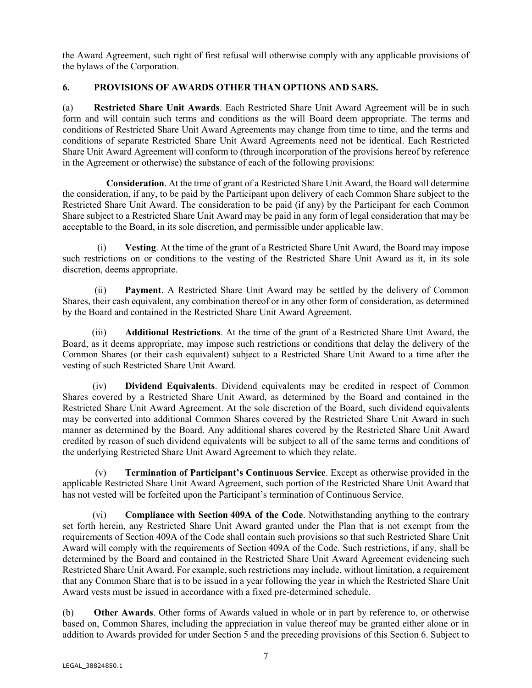the Award Agreement, such right of first refusal will otherwise comply with any applicable provisions of the bylaws of the Corporation.

## **6. PROVISIONS OF AWARDS OTHER THAN OPTIONS AND SARS.**

(a) **Restricted Share Unit Awards**. Each Restricted Share Unit Award Agreement will be in such form and will contain such terms and conditions as the will Board deem appropriate. The terms and conditions of Restricted Share Unit Award Agreements may change from time to time, and the terms and conditions of separate Restricted Share Unit Award Agreements need not be identical. Each Restricted Share Unit Award Agreement will conform to (through incorporation of the provisions hereof by reference in the Agreement or otherwise) the substance of each of the following provisions:

**Consideration**. At the time of grant of a Restricted Share Unit Award, the Board will determine the consideration, if any, to be paid by the Participant upon delivery of each Common Share subject to the Restricted Share Unit Award. The consideration to be paid (if any) by the Participant for each Common Share subject to a Restricted Share Unit Award may be paid in any form of legal consideration that may be acceptable to the Board, in its sole discretion, and permissible under applicable law.

(i) **Vesting**. At the time of the grant of a Restricted Share Unit Award, the Board may impose such restrictions on or conditions to the vesting of the Restricted Share Unit Award as it, in its sole discretion, deems appropriate.

(ii) **Payment**. A Restricted Share Unit Award may be settled by the delivery of Common Shares, their cash equivalent, any combination thereof or in any other form of consideration, as determined by the Board and contained in the Restricted Share Unit Award Agreement.

(iii) **Additional Restrictions**. At the time of the grant of a Restricted Share Unit Award, the Board, as it deems appropriate, may impose such restrictions or conditions that delay the delivery of the Common Shares (or their cash equivalent) subject to a Restricted Share Unit Award to a time after the vesting of such Restricted Share Unit Award.

(iv) **Dividend Equivalents**. Dividend equivalents may be credited in respect of Common Shares covered by a Restricted Share Unit Award, as determined by the Board and contained in the Restricted Share Unit Award Agreement. At the sole discretion of the Board, such dividend equivalents may be converted into additional Common Shares covered by the Restricted Share Unit Award in such manner as determined by the Board. Any additional shares covered by the Restricted Share Unit Award credited by reason of such dividend equivalents will be subject to all of the same terms and conditions of the underlying Restricted Share Unit Award Agreement to which they relate.

(v) **Termination of Participant's Continuous Service**. Except as otherwise provided in the applicable Restricted Share Unit Award Agreement, such portion of the Restricted Share Unit Award that has not vested will be forfeited upon the Participant's termination of Continuous Service.

(vi) **Compliance with Section 409A of the Code**. Notwithstanding anything to the contrary set forth herein, any Restricted Share Unit Award granted under the Plan that is not exempt from the requirements of Section 409A of the Code shall contain such provisions so that such Restricted Share Unit Award will comply with the requirements of Section 409A of the Code. Such restrictions, if any, shall be determined by the Board and contained in the Restricted Share Unit Award Agreement evidencing such Restricted Share Unit Award. For example, such restrictions may include, without limitation, a requirement that any Common Share that is to be issued in a year following the year in which the Restricted Share Unit Award vests must be issued in accordance with a fixed pre-determined schedule.

(b) **Other Awards**. Other forms of Awards valued in whole or in part by reference to, or otherwise based on, Common Shares, including the appreciation in value thereof may be granted either alone or in addition to Awards provided for under Section 5 and the preceding provisions of this Section 6. Subject to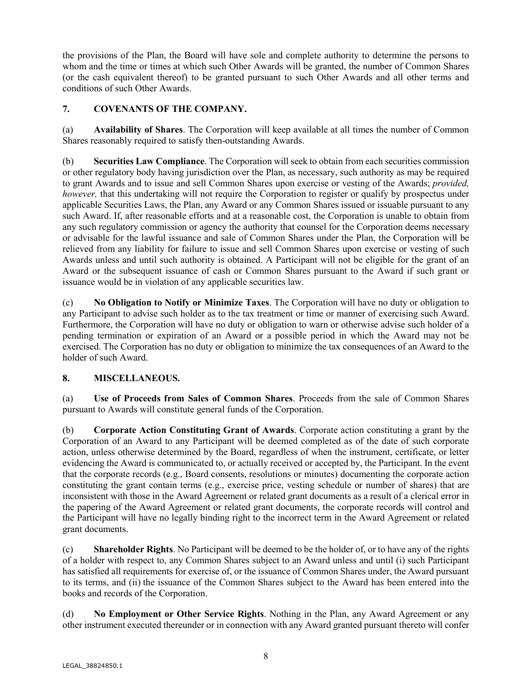the provisions of the Plan, the Board will have sole and complete authority to determine the persons to whom and the time or times at which such Other Awards will be granted, the number of Common Shares (or the cash equivalent thereof) to be granted pursuant to such Other Awards and all other terms and conditions of such Other Awards.

# **7. COVENANTS OF THE COMPANY.**

(a) **Availability of Shares**. The Corporation will keep available at all times the number of Common Shares reasonably required to satisfy then-outstanding Awards.

(b) **Securities Law Compliance**. The Corporation will seek to obtain from each securities commission or other regulatory body having jurisdiction over the Plan, as necessary, such authority as may be required to grant Awards and to issue and sell Common Shares upon exercise or vesting of the Awards; *provided, however*, that this undertaking will not require the Corporation to register or qualify by prospectus under applicable Securities Laws, the Plan, any Award or any Common Shares issued or issuable pursuant to any such Award. If, after reasonable efforts and at a reasonable cost, the Corporation is unable to obtain from any such regulatory commission or agency the authority that counsel for the Corporation deems necessary or advisable for the lawful issuance and sale of Common Shares under the Plan, the Corporation will be relieved from any liability for failure to issue and sell Common Shares upon exercise or vesting of such Awards unless and until such authority is obtained. A Participant will not be eligible for the grant of an Award or the subsequent issuance of cash or Common Shares pursuant to the Award if such grant or issuance would be in violation of any applicable securities law.

(c) **No Obligation to Notify or Minimize Taxes**. The Corporation will have no duty or obligation to any Participant to advise such holder as to the tax treatment or time or manner of exercising such Award. Furthermore, the Corporation will have no duty or obligation to warn or otherwise advise such holder of a pending termination or expiration of an Award or a possible period in which the Award may not be exercised. The Corporation has no duty or obligation to minimize the tax consequences of an Award to the holder of such Award.

# **8. MISCELLANEOUS.**

(a) **Use of Proceeds from Sales of Common Shares**. Proceeds from the sale of Common Shares pursuant to Awards will constitute general funds of the Corporation.

(b) **Corporate Action Constituting Grant of Awards**. Corporate action constituting a grant by the Corporation of an Award to any Participant will be deemed completed as of the date of such corporate action, unless otherwise determined by the Board, regardless of when the instrument, certificate, or letter evidencing the Award is communicated to, or actually received or accepted by, the Participant. In the event that the corporate records (e.g., Board consents, resolutions or minutes) documenting the corporate action constituting the grant contain terms (e.g., exercise price, vesting schedule or number of shares) that are inconsistent with those in the Award Agreement or related grant documents as a result of a clerical error in the papering of the Award Agreement or related grant documents, the corporate records will control and the Participant will have no legally binding right to the incorrect term in the Award Agreement or related grant documents.

(c) **Shareholder Rights**. No Participant will be deemed to be the holder of, or to have any of the rights of a holder with respect to, any Common Shares subject to an Award unless and until (i) such Participant has satisfied all requirements for exercise of, or the issuance of Common Shares under, the Award pursuant to its terms, and (ii) the issuance of the Common Shares subject to the Award has been entered into the books and records of the Corporation.

(d) **No Employment or Other Service Rights**. Nothing in the Plan, any Award Agreement or any other instrument executed thereunder or in connection with any Award granted pursuant thereto will confer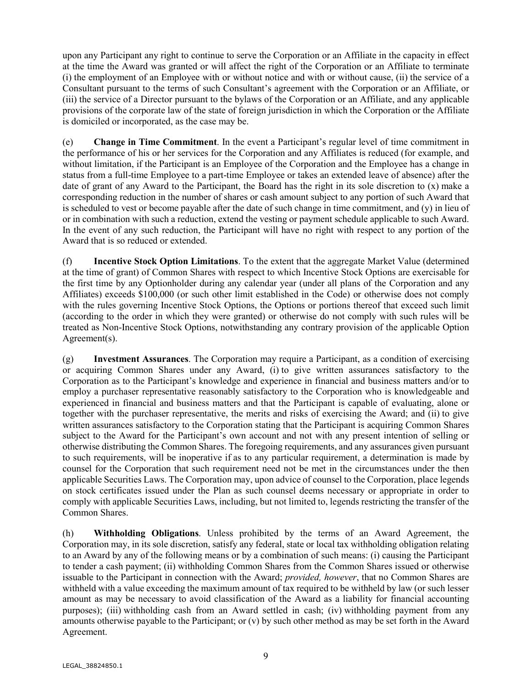upon any Participant any right to continue to serve the Corporation or an Affiliate in the capacity in effect at the time the Award was granted or will affect the right of the Corporation or an Affiliate to terminate (i) the employment of an Employee with or without notice and with or without cause, (ii) the service of a Consultant pursuant to the terms of such Consultant's agreement with the Corporation or an Affiliate, or (iii) the service of a Director pursuant to the bylaws of the Corporation or an Affiliate, and any applicable provisions of the corporate law of the state of foreign jurisdiction in which the Corporation or the Affiliate is domiciled or incorporated, as the case may be.

(e) **Change in Time Commitment**. In the event a Participant's regular level of time commitment in the performance of his or her services for the Corporation and any Affiliates is reduced (for example, and without limitation, if the Participant is an Employee of the Corporation and the Employee has a change in status from a full-time Employee to a part-time Employee or takes an extended leave of absence) after the date of grant of any Award to the Participant, the Board has the right in its sole discretion to (x) make a corresponding reduction in the number of shares or cash amount subject to any portion of such Award that is scheduled to vest or become payable after the date of such change in time commitment, and (y) in lieu of or in combination with such a reduction, extend the vesting or payment schedule applicable to such Award. In the event of any such reduction, the Participant will have no right with respect to any portion of the Award that is so reduced or extended.

(f) **Incentive Stock Option Limitations**. To the extent that the aggregate Market Value (determined at the time of grant) of Common Shares with respect to which Incentive Stock Options are exercisable for the first time by any Optionholder during any calendar year (under all plans of the Corporation and any Affiliates) exceeds \$100,000 (or such other limit established in the Code) or otherwise does not comply with the rules governing Incentive Stock Options, the Options or portions thereof that exceed such limit (according to the order in which they were granted) or otherwise do not comply with such rules will be treated as Non-Incentive Stock Options, notwithstanding any contrary provision of the applicable Option Agreement(s).

(g) **Investment Assurances**. The Corporation may require a Participant, as a condition of exercising or acquiring Common Shares under any Award, (i) to give written assurances satisfactory to the Corporation as to the Participant's knowledge and experience in financial and business matters and/or to employ a purchaser representative reasonably satisfactory to the Corporation who is knowledgeable and experienced in financial and business matters and that the Participant is capable of evaluating, alone or together with the purchaser representative, the merits and risks of exercising the Award; and (ii) to give written assurances satisfactory to the Corporation stating that the Participant is acquiring Common Shares subject to the Award for the Participant's own account and not with any present intention of selling or otherwise distributing the Common Shares. The foregoing requirements, and any assurances given pursuant to such requirements, will be inoperative if as to any particular requirement, a determination is made by counsel for the Corporation that such requirement need not be met in the circumstances under the then applicable Securities Laws. The Corporation may, upon advice of counsel to the Corporation, place legends on stock certificates issued under the Plan as such counsel deems necessary or appropriate in order to comply with applicable Securities Laws, including, but not limited to, legends restricting the transfer of the Common Shares.

(h) **Withholding Obligations**. Unless prohibited by the terms of an Award Agreement, the Corporation may, in its sole discretion, satisfy any federal, state or local tax withholding obligation relating to an Award by any of the following means or by a combination of such means: (i) causing the Participant to tender a cash payment; (ii) withholding Common Shares from the Common Shares issued or otherwise issuable to the Participant in connection with the Award; *provided, however*, that no Common Shares are withheld with a value exceeding the maximum amount of tax required to be withheld by law (or such lesser amount as may be necessary to avoid classification of the Award as a liability for financial accounting purposes); (iii) withholding cash from an Award settled in cash; (iv) withholding payment from any amounts otherwise payable to the Participant; or (v) by such other method as may be set forth in the Award Agreement.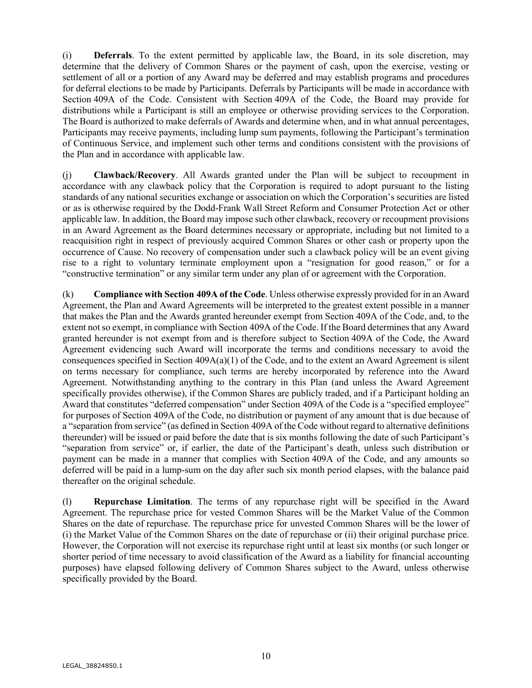(i) **Deferrals**. To the extent permitted by applicable law, the Board, in its sole discretion, may determine that the delivery of Common Shares or the payment of cash, upon the exercise, vesting or settlement of all or a portion of any Award may be deferred and may establish programs and procedures for deferral elections to be made by Participants. Deferrals by Participants will be made in accordance with Section 409A of the Code. Consistent with Section 409A of the Code, the Board may provide for distributions while a Participant is still an employee or otherwise providing services to the Corporation. The Board is authorized to make deferrals of Awards and determine when, and in what annual percentages, Participants may receive payments, including lump sum payments, following the Participant's termination of Continuous Service, and implement such other terms and conditions consistent with the provisions of the Plan and in accordance with applicable law.

(j) **Clawback/Recovery**. All Awards granted under the Plan will be subject to recoupment in accordance with any clawback policy that the Corporation is required to adopt pursuant to the listing standards of any national securities exchange or association on which the Corporation's securities are listed or as is otherwise required by the Dodd-Frank Wall Street Reform and Consumer Protection Act or other applicable law. In addition, the Board may impose such other clawback, recovery or recoupment provisions in an Award Agreement as the Board determines necessary or appropriate, including but not limited to a reacquisition right in respect of previously acquired Common Shares or other cash or property upon the occurrence of Cause. No recovery of compensation under such a clawback policy will be an event giving rise to a right to voluntary terminate employment upon a "resignation for good reason," or for a "constructive termination" or any similar term under any plan of or agreement with the Corporation.

(k) **Compliance with Section 409A of the Code**. Unless otherwise expressly provided for in an Award Agreement, the Plan and Award Agreements will be interpreted to the greatest extent possible in a manner that makes the Plan and the Awards granted hereunder exempt from Section 409A of the Code, and, to the extent not so exempt, in compliance with Section 409A of the Code. If the Board determines that any Award granted hereunder is not exempt from and is therefore subject to Section 409A of the Code, the Award Agreement evidencing such Award will incorporate the terms and conditions necessary to avoid the consequences specified in Section  $409A(a)(1)$  of the Code, and to the extent an Award Agreement is silent on terms necessary for compliance, such terms are hereby incorporated by reference into the Award Agreement. Notwithstanding anything to the contrary in this Plan (and unless the Award Agreement specifically provides otherwise), if the Common Shares are publicly traded, and if a Participant holding an Award that constitutes "deferred compensation" under Section 409A of the Code is a "specified employee" for purposes of Section 409A of the Code, no distribution or payment of any amount that is due because of a "separation from service" (as defined in Section 409A of the Code without regard to alternative definitions thereunder) will be issued or paid before the date that is six months following the date of such Participant's "separation from service" or, if earlier, the date of the Participant's death, unless such distribution or payment can be made in a manner that complies with Section 409A of the Code, and any amounts so deferred will be paid in a lump-sum on the day after such six month period elapses, with the balance paid thereafter on the original schedule.

(l) **Repurchase Limitation**. The terms of any repurchase right will be specified in the Award Agreement. The repurchase price for vested Common Shares will be the Market Value of the Common Shares on the date of repurchase. The repurchase price for unvested Common Shares will be the lower of (i) the Market Value of the Common Shares on the date of repurchase or (ii) their original purchase price. However, the Corporation will not exercise its repurchase right until at least six months (or such longer or shorter period of time necessary to avoid classification of the Award as a liability for financial accounting purposes) have elapsed following delivery of Common Shares subject to the Award, unless otherwise specifically provided by the Board.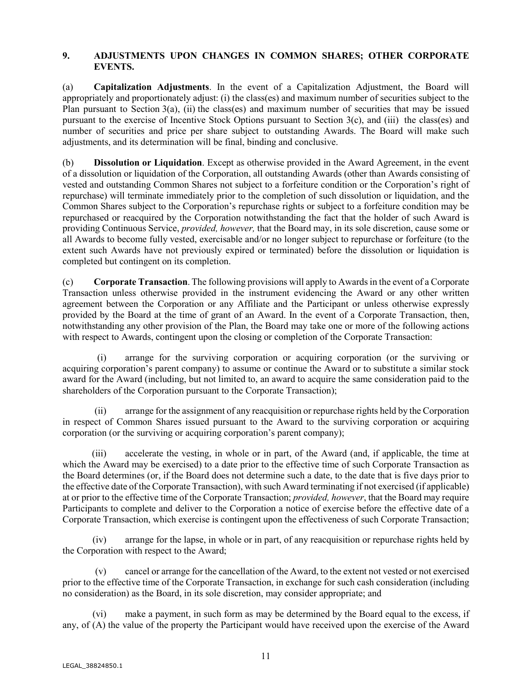### **9. ADJUSTMENTS UPON CHANGES IN COMMON SHARES; OTHER CORPORATE EVENTS.**

(a) **Capitalization Adjustments**. In the event of a Capitalization Adjustment, the Board will appropriately and proportionately adjust: (i) the class(es) and maximum number of securities subject to the Plan pursuant to Section 3(a), (ii) the class(es) and maximum number of securities that may be issued pursuant to the exercise of Incentive Stock Options pursuant to Section 3(c), and (iii) the class(es) and number of securities and price per share subject to outstanding Awards. The Board will make such adjustments, and its determination will be final, binding and conclusive.

(b) **Dissolution or Liquidation**. Except as otherwise provided in the Award Agreement, in the event of a dissolution or liquidation of the Corporation, all outstanding Awards (other than Awards consisting of vested and outstanding Common Shares not subject to a forfeiture condition or the Corporation's right of repurchase) will terminate immediately prior to the completion of such dissolution or liquidation, and the Common Shares subject to the Corporation's repurchase rights or subject to a forfeiture condition may be repurchased or reacquired by the Corporation notwithstanding the fact that the holder of such Award is providing Continuous Service, *provided, however,* that the Board may, in its sole discretion, cause some or all Awards to become fully vested, exercisable and/or no longer subject to repurchase or forfeiture (to the extent such Awards have not previously expired or terminated) before the dissolution or liquidation is completed but contingent on its completion.

(c) **Corporate Transaction**. The following provisions will apply to Awards in the event of a Corporate Transaction unless otherwise provided in the instrument evidencing the Award or any other written agreement between the Corporation or any Affiliate and the Participant or unless otherwise expressly provided by the Board at the time of grant of an Award. In the event of a Corporate Transaction, then, notwithstanding any other provision of the Plan, the Board may take one or more of the following actions with respect to Awards, contingent upon the closing or completion of the Corporate Transaction:

(i) arrange for the surviving corporation or acquiring corporation (or the surviving or acquiring corporation's parent company) to assume or continue the Award or to substitute a similar stock award for the Award (including, but not limited to, an award to acquire the same consideration paid to the shareholders of the Corporation pursuant to the Corporate Transaction);

(ii) arrange for the assignment of any reacquisition or repurchase rights held by the Corporation in respect of Common Shares issued pursuant to the Award to the surviving corporation or acquiring corporation (or the surviving or acquiring corporation's parent company);

(iii) accelerate the vesting, in whole or in part, of the Award (and, if applicable, the time at which the Award may be exercised) to a date prior to the effective time of such Corporate Transaction as the Board determines (or, if the Board does not determine such a date, to the date that is five days prior to the effective date of the Corporate Transaction), with such Award terminating if not exercised (if applicable) at or prior to the effective time of the Corporate Transaction; *provided, however*, that the Board may require Participants to complete and deliver to the Corporation a notice of exercise before the effective date of a Corporate Transaction, which exercise is contingent upon the effectiveness of such Corporate Transaction;

(iv) arrange for the lapse, in whole or in part, of any reacquisition or repurchase rights held by the Corporation with respect to the Award;

(v) cancel or arrange for the cancellation of the Award, to the extent not vested or not exercised prior to the effective time of the Corporate Transaction, in exchange for such cash consideration (including no consideration) as the Board, in its sole discretion, may consider appropriate; and

(vi) make a payment, in such form as may be determined by the Board equal to the excess, if any, of (A) the value of the property the Participant would have received upon the exercise of the Award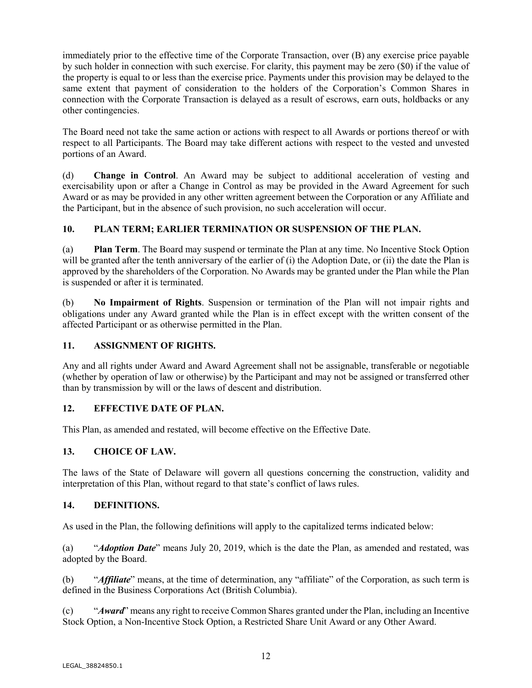immediately prior to the effective time of the Corporate Transaction, over (B) any exercise price payable by such holder in connection with such exercise. For clarity, this payment may be zero (\$0) if the value of the property is equal to or less than the exercise price. Payments under this provision may be delayed to the same extent that payment of consideration to the holders of the Corporation's Common Shares in connection with the Corporate Transaction is delayed as a result of escrows, earn outs, holdbacks or any other contingencies.

The Board need not take the same action or actions with respect to all Awards or portions thereof or with respect to all Participants. The Board may take different actions with respect to the vested and unvested portions of an Award.

(d) **Change in Control**. An Award may be subject to additional acceleration of vesting and exercisability upon or after a Change in Control as may be provided in the Award Agreement for such Award or as may be provided in any other written agreement between the Corporation or any Affiliate and the Participant, but in the absence of such provision, no such acceleration will occur.

## **10. PLAN TERM; EARLIER TERMINATION OR SUSPENSION OF THE PLAN.**

(a) **Plan Term**. The Board may suspend or terminate the Plan at any time. No Incentive Stock Option will be granted after the tenth anniversary of the earlier of (i) the Adoption Date, or (ii) the date the Plan is approved by the shareholders of the Corporation. No Awards may be granted under the Plan while the Plan is suspended or after it is terminated.

(b) **No Impairment of Rights**. Suspension or termination of the Plan will not impair rights and obligations under any Award granted while the Plan is in effect except with the written consent of the affected Participant or as otherwise permitted in the Plan.

## **11. ASSIGNMENT OF RIGHTS.**

Any and all rights under Award and Award Agreement shall not be assignable, transferable or negotiable (whether by operation of law or otherwise) by the Participant and may not be assigned or transferred other than by transmission by will or the laws of descent and distribution.

## **12. EFFECTIVE DATE OF PLAN.**

This Plan, as amended and restated, will become effective on the Effective Date.

## **13. CHOICE OF LAW.**

The laws of the State of Delaware will govern all questions concerning the construction, validity and interpretation of this Plan, without regard to that state's conflict of laws rules.

#### **14. DEFINITIONS.**

As used in the Plan, the following definitions will apply to the capitalized terms indicated below:

(a) "*Adoption Date*" means July 20, 2019, which is the date the Plan, as amended and restated, was adopted by the Board.

(b) "*Affiliate*" means, at the time of determination, any "affiliate" of the Corporation, as such term is defined in the Business Corporations Act (British Columbia).

(c) "*Award*" means any right to receive Common Shares granted under the Plan, including an Incentive Stock Option, a Non-Incentive Stock Option, a Restricted Share Unit Award or any Other Award.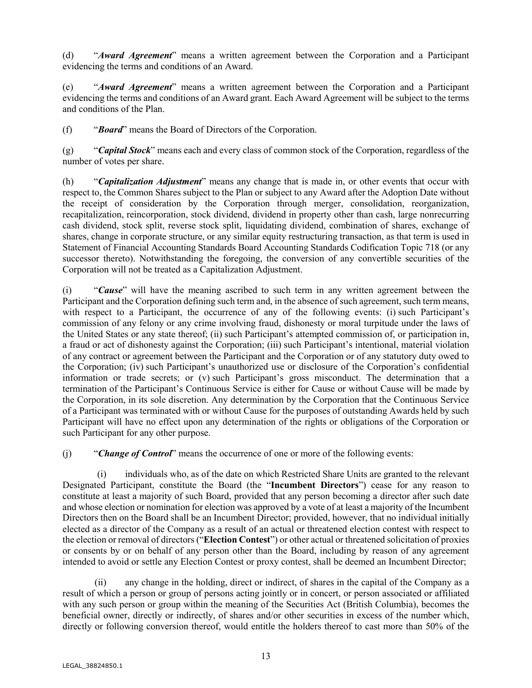(d) "*Award Agreement*" means a written agreement between the Corporation and a Participant evidencing the terms and conditions of an Award.

(e) "*Award Agreement*" means a written agreement between the Corporation and a Participant evidencing the terms and conditions of an Award grant. Each Award Agreement will be subject to the terms and conditions of the Plan.

(f) "*Board*" means the Board of Directors of the Corporation.

(g) "*Capital Stock*" means each and every class of common stock of the Corporation, regardless of the number of votes per share.

(h) "*Capitalization Adjustment*" means any change that is made in, or other events that occur with respect to, the Common Shares subject to the Plan or subject to any Award after the Adoption Date without the receipt of consideration by the Corporation through merger, consolidation, reorganization, recapitalization, reincorporation, stock dividend, dividend in property other than cash, large nonrecurring cash dividend, stock split, reverse stock split, liquidating dividend, combination of shares, exchange of shares, change in corporate structure, or any similar equity restructuring transaction, as that term is used in Statement of Financial Accounting Standards Board Accounting Standards Codification Topic 718 (or any successor thereto). Notwithstanding the foregoing, the conversion of any convertible securities of the Corporation will not be treated as a Capitalization Adjustment.

(i) "*Cause*" will have the meaning ascribed to such term in any written agreement between the Participant and the Corporation defining such term and, in the absence of such agreement, such term means, with respect to a Participant, the occurrence of any of the following events: (i) such Participant's commission of any felony or any crime involving fraud, dishonesty or moral turpitude under the laws of the United States or any state thereof; (ii) such Participant's attempted commission of, or participation in, a fraud or act of dishonesty against the Corporation; (iii) such Participant's intentional, material violation of any contract or agreement between the Participant and the Corporation or of any statutory duty owed to the Corporation; (iv) such Participant's unauthorized use or disclosure of the Corporation's confidential information or trade secrets; or (v) such Participant's gross misconduct. The determination that a termination of the Participant's Continuous Service is either for Cause or without Cause will be made by the Corporation, in its sole discretion. Any determination by the Corporation that the Continuous Service of a Participant was terminated with or without Cause for the purposes of outstanding Awards held by such Participant will have no effect upon any determination of the rights or obligations of the Corporation or such Participant for any other purpose.

(j) "*Change of Control*" means the occurrence of one or more of the following events:

individuals who, as of the date on which Restricted Share Units are granted to the relevant Designated Participant, constitute the Board (the "**Incumbent Directors**") cease for any reason to constitute at least a majority of such Board, provided that any person becoming a director after such date and whose election or nomination for election was approved by a vote of at least a majority of the Incumbent Directors then on the Board shall be an Incumbent Director; provided, however, that no individual initially elected as a director of the Company as a result of an actual or threatened election contest with respect to the election or removal of directors ("**Election Contest**") or other actual or threatened solicitation of proxies or consents by or on behalf of any person other than the Board, including by reason of any agreement intended to avoid or settle any Election Contest or proxy contest, shall be deemed an Incumbent Director;

(ii) any change in the holding, direct or indirect, of shares in the capital of the Company as a result of which a person or group of persons acting jointly or in concert, or person associated or affiliated with any such person or group within the meaning of the Securities Act (British Columbia), becomes the beneficial owner, directly or indirectly, of shares and/or other securities in excess of the number which, directly or following conversion thereof, would entitle the holders thereof to cast more than 50% of the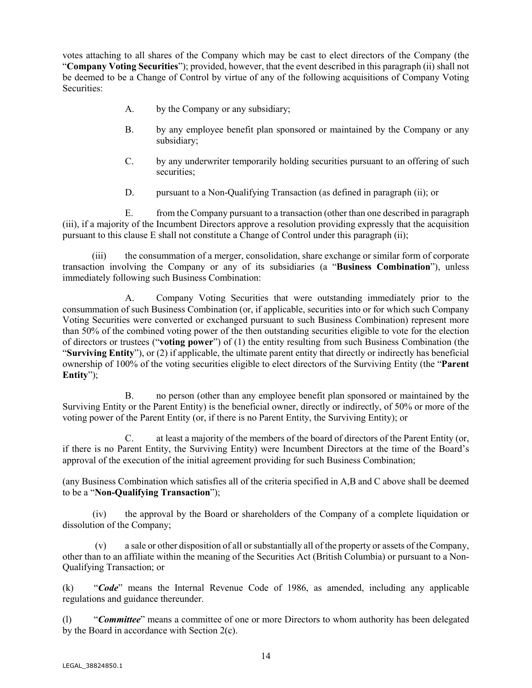votes attaching to all shares of the Company which may be cast to elect directors of the Company (the "**Company Voting Securities**"); provided, however, that the event described in this paragraph (ii) shall not be deemed to be a Change of Control by virtue of any of the following acquisitions of Company Voting Securities:

- A. by the Company or any subsidiary;
- B. by any employee benefit plan sponsored or maintained by the Company or any subsidiary;
- C. by any underwriter temporarily holding securities pursuant to an offering of such securities;
- D. pursuant to a Non-Qualifying Transaction (as defined in paragraph (ii); or

E. from the Company pursuant to a transaction (other than one described in paragraph (iii), if a majority of the Incumbent Directors approve a resolution providing expressly that the acquisition pursuant to this clause E shall not constitute a Change of Control under this paragraph (ii);

(iii) the consummation of a merger, consolidation, share exchange or similar form of corporate transaction involving the Company or any of its subsidiaries (a "**Business Combination**"), unless immediately following such Business Combination:

A. Company Voting Securities that were outstanding immediately prior to the consummation of such Business Combination (or, if applicable, securities into or for which such Company Voting Securities were converted or exchanged pursuant to such Business Combination) represent more than 50% of the combined voting power of the then outstanding securities eligible to vote for the election of directors or trustees ("**voting power**") of (1) the entity resulting from such Business Combination (the "**Surviving Entity**"), or (2) if applicable, the ultimate parent entity that directly or indirectly has beneficial ownership of 100% of the voting securities eligible to elect directors of the Surviving Entity (the "**Parent Entity**");

B. no person (other than any employee benefit plan sponsored or maintained by the Surviving Entity or the Parent Entity) is the beneficial owner, directly or indirectly, of 50% or more of the voting power of the Parent Entity (or, if there is no Parent Entity, the Surviving Entity); or

C. at least a majority of the members of the board of directors of the Parent Entity (or, if there is no Parent Entity, the Surviving Entity) were Incumbent Directors at the time of the Board's approval of the execution of the initial agreement providing for such Business Combination;

(any Business Combination which satisfies all of the criteria specified in A,B and C above shall be deemed to be a "**Non-Qualifying Transaction**");

(iv) the approval by the Board or shareholders of the Company of a complete liquidation or dissolution of the Company;

(v) a sale or other disposition of all or substantially all of the property or assets of the Company, other than to an affiliate within the meaning of the Securities Act (British Columbia) or pursuant to a Non-Qualifying Transaction; or

(k) "*Code*" means the Internal Revenue Code of 1986, as amended, including any applicable regulations and guidance thereunder.

(l) "*Committee*" means a committee of one or more Directors to whom authority has been delegated by the Board in accordance with Section 2(c).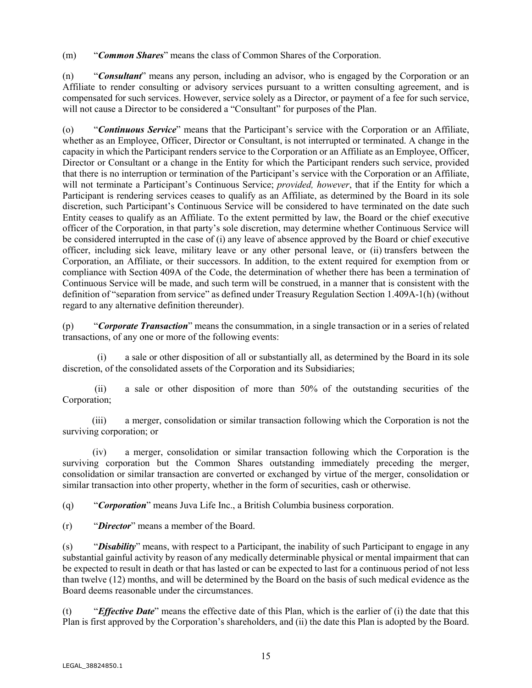(m) "*Common Shares*" means the class of Common Shares of the Corporation.

(n) "*Consultant*" means any person, including an advisor, who is engaged by the Corporation or an Affiliate to render consulting or advisory services pursuant to a written consulting agreement, and is compensated for such services. However, service solely as a Director, or payment of a fee for such service, will not cause a Director to be considered a "Consultant" for purposes of the Plan.

(o) "*Continuous Service*" means that the Participant's service with the Corporation or an Affiliate, whether as an Employee, Officer, Director or Consultant, is not interrupted or terminated. A change in the capacity in which the Participant renders service to the Corporation or an Affiliate as an Employee, Officer, Director or Consultant or a change in the Entity for which the Participant renders such service, provided that there is no interruption or termination of the Participant's service with the Corporation or an Affiliate, will not terminate a Participant's Continuous Service; *provided, however*, that if the Entity for which a Participant is rendering services ceases to qualify as an Affiliate, as determined by the Board in its sole discretion, such Participant's Continuous Service will be considered to have terminated on the date such Entity ceases to qualify as an Affiliate. To the extent permitted by law, the Board or the chief executive officer of the Corporation, in that party's sole discretion, may determine whether Continuous Service will be considered interrupted in the case of (i) any leave of absence approved by the Board or chief executive officer, including sick leave, military leave or any other personal leave, or (ii) transfers between the Corporation, an Affiliate, or their successors. In addition, to the extent required for exemption from or compliance with Section 409A of the Code, the determination of whether there has been a termination of Continuous Service will be made, and such term will be construed, in a manner that is consistent with the definition of "separation from service" as defined under Treasury Regulation Section 1.409A-1(h) (without regard to any alternative definition thereunder).

(p) "*Corporate Transaction*" means the consummation, in a single transaction or in a series of related transactions, of any one or more of the following events:

(i) a sale or other disposition of all or substantially all, as determined by the Board in its sole discretion, of the consolidated assets of the Corporation and its Subsidiaries;

(ii) a sale or other disposition of more than 50% of the outstanding securities of the Corporation;

(iii) a merger, consolidation or similar transaction following which the Corporation is not the surviving corporation; or

(iv) a merger, consolidation or similar transaction following which the Corporation is the surviving corporation but the Common Shares outstanding immediately preceding the merger, consolidation or similar transaction are converted or exchanged by virtue of the merger, consolidation or similar transaction into other property, whether in the form of securities, cash or otherwise.

(q) "*Corporation*" means Juva Life Inc., a British Columbia business corporation.

(r) "*Director*" means a member of the Board.

(s) "*Disability*" means, with respect to a Participant, the inability of such Participant to engage in any substantial gainful activity by reason of any medically determinable physical or mental impairment that can be expected to result in death or that has lasted or can be expected to last for a continuous period of not less than twelve (12) months, and will be determined by the Board on the basis of such medical evidence as the Board deems reasonable under the circumstances.

(t) "*Effective Date*" means the effective date of this Plan, which is the earlier of (i) the date that this Plan is first approved by the Corporation's shareholders, and (ii) the date this Plan is adopted by the Board.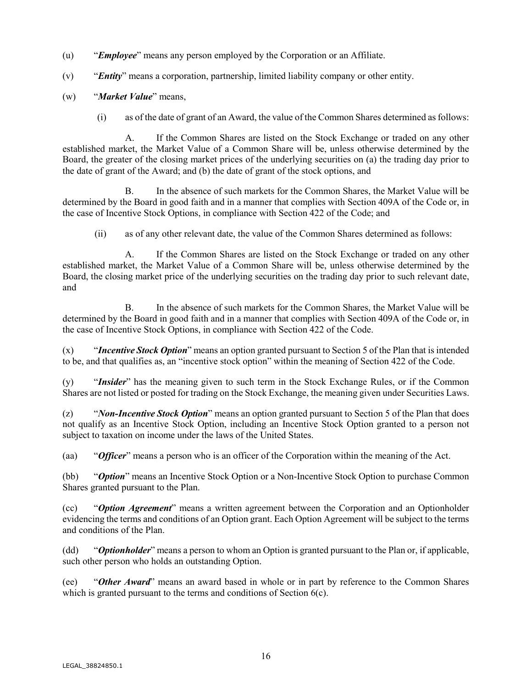- (u) "*Employee*" means any person employed by the Corporation or an Affiliate.
- (v) "*Entity*" means a corporation, partnership, limited liability company or other entity.
- (w) "*Market Value*" means,
	- (i) as of the date of grant of an Award, the value of the Common Shares determined as follows:

A. If the Common Shares are listed on the Stock Exchange or traded on any other established market, the Market Value of a Common Share will be, unless otherwise determined by the Board, the greater of the closing market prices of the underlying securities on (a) the trading day prior to the date of grant of the Award; and (b) the date of grant of the stock options, and

B. In the absence of such markets for the Common Shares, the Market Value will be determined by the Board in good faith and in a manner that complies with Section 409A of the Code or, in the case of Incentive Stock Options, in compliance with Section 422 of the Code; and

(ii) as of any other relevant date, the value of the Common Shares determined as follows:

A. If the Common Shares are listed on the Stock Exchange or traded on any other established market, the Market Value of a Common Share will be, unless otherwise determined by the Board, the closing market price of the underlying securities on the trading day prior to such relevant date, and

B. In the absence of such markets for the Common Shares, the Market Value will be determined by the Board in good faith and in a manner that complies with Section 409A of the Code or, in the case of Incentive Stock Options, in compliance with Section 422 of the Code.

(x) "*Incentive Stock Option*" means an option granted pursuant to Section 5 of the Plan that is intended to be, and that qualifies as, an "incentive stock option" within the meaning of Section 422 of the Code.

(y) "*Insider*" has the meaning given to such term in the Stock Exchange Rules, or if the Common Shares are not listed or posted for trading on the Stock Exchange, the meaning given under Securities Laws.

(z) "*Non-Incentive Stock Option*" means an option granted pursuant to Section 5 of the Plan that does not qualify as an Incentive Stock Option, including an Incentive Stock Option granted to a person not subject to taxation on income under the laws of the United States.

(aa) "*Officer*" means a person who is an officer of the Corporation within the meaning of the Act.

(bb) "*Option*" means an Incentive Stock Option or a Non-Incentive Stock Option to purchase Common Shares granted pursuant to the Plan.

(cc) "*Option Agreement*" means a written agreement between the Corporation and an Optionholder evidencing the terms and conditions of an Option grant. Each Option Agreement will be subject to the terms and conditions of the Plan.

(dd) "*Optionholder*" means a person to whom an Option is granted pursuant to the Plan or, if applicable, such other person who holds an outstanding Option.

(ee) "*Other Award*" means an award based in whole or in part by reference to the Common Shares which is granted pursuant to the terms and conditions of Section  $6(c)$ .